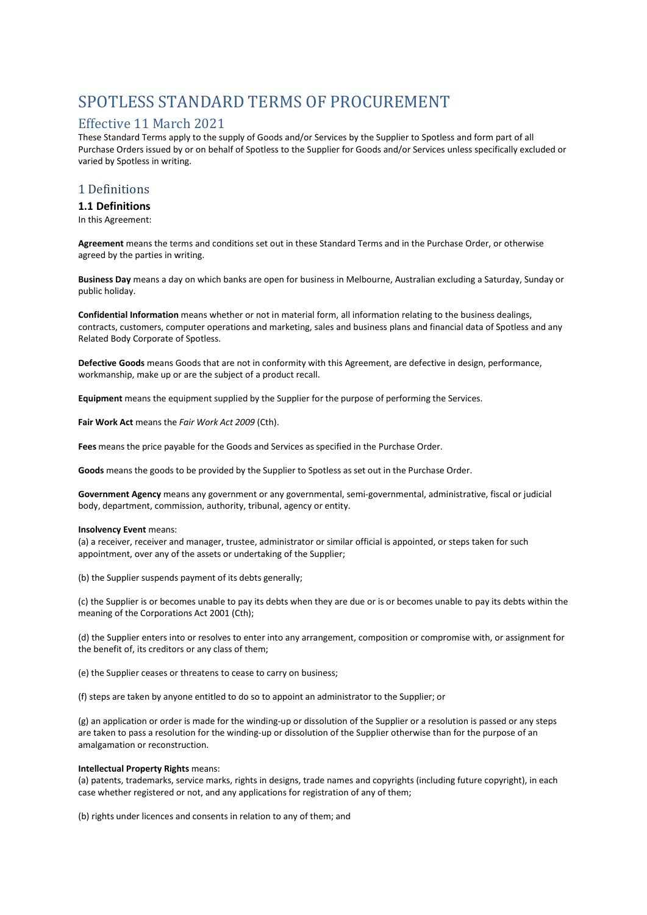# SPOTLESS STANDARD TERMS OF PROCUREMENT

# Effective 11 March 2021

These Standard Terms apply to the supply of Goods and/or Services by the Supplier to Spotless and form part of all Purchase Orders issued by or on behalf of Spotless to the Supplier for Goods and/or Services unless specifically excluded or varied by Spotless in writing.

### 1 Definitions

### **1.1 Definitions**

In this Agreement:

**Agreement** means the terms and conditions set out in these Standard Terms and in the Purchase Order, or otherwise agreed by the parties in writing.

**Business Day** means a day on which banks are open for business in Melbourne, Australian excluding a Saturday, Sunday or public holiday.

**Confidential Information** means whether or not in material form, all information relating to the business dealings, contracts, customers, computer operations and marketing, sales and business plans and financial data of Spotless and any Related Body Corporate of Spotless.

**Defective Goods** means Goods that are not in conformity with this Agreement, are defective in design, performance, workmanship, make up or are the subject of a product recall.

**Equipment** means the equipment supplied by the Supplier for the purpose of performing the Services.

**Fair Work Act** means the *Fair Work Act 2009* (Cth).

**Fees** means the price payable for the Goods and Services as specified in the Purchase Order.

**Goods** means the goods to be provided by the Supplier to Spotless as set out in the Purchase Order.

**Government Agency** means any government or any governmental, semi-governmental, administrative, fiscal or judicial body, department, commission, authority, tribunal, agency or entity.

#### **Insolvency Event** means:

(a) a receiver, receiver and manager, trustee, administrator or similar official is appointed, or steps taken for such appointment, over any of the assets or undertaking of the Supplier;

(b) the Supplier suspends payment of its debts generally;

(c) the Supplier is or becomes unable to pay its debts when they are due or is or becomes unable to pay its debts within the meaning of the Corporations Act 2001 (Cth);

(d) the Supplier enters into or resolves to enter into any arrangement, composition or compromise with, or assignment for the benefit of, its creditors or any class of them;

(e) the Supplier ceases or threatens to cease to carry on business;

(f) steps are taken by anyone entitled to do so to appoint an administrator to the Supplier; or

(g) an application or order is made for the winding-up or dissolution of the Supplier or a resolution is passed or any steps are taken to pass a resolution for the winding-up or dissolution of the Supplier otherwise than for the purpose of an amalgamation or reconstruction.

#### **Intellectual Property Rights** means:

(a) patents, trademarks, service marks, rights in designs, trade names and copyrights (including future copyright), in each case whether registered or not, and any applications for registration of any of them;

(b) rights under licences and consents in relation to any of them; and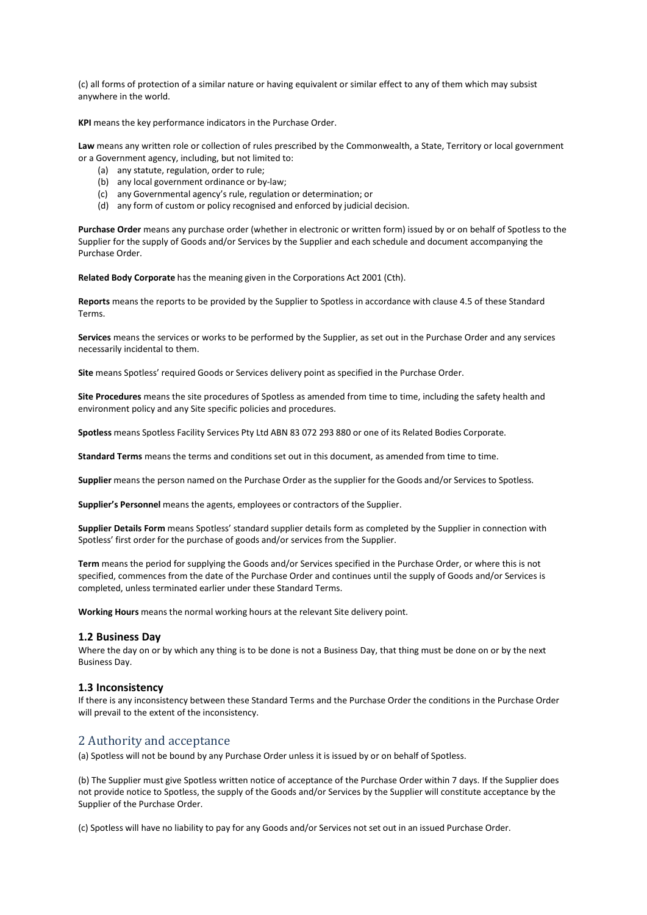(c) all forms of protection of a similar nature or having equivalent or similar effect to any of them which may subsist anywhere in the world.

**KPI** means the key performance indicators in the Purchase Order.

**Law** means any written role or collection of rules prescribed by the Commonwealth, a State, Territory or local government or a Government agency, including, but not limited to:

- (a) any statute, regulation, order to rule;
- (b) any local government ordinance or by-law;
- (c) any Governmental agency's rule, regulation or determination; or
- (d) any form of custom or policy recognised and enforced by judicial decision.

**Purchase Order** means any purchase order (whether in electronic or written form) issued by or on behalf of Spotless to the Supplier for the supply of Goods and/or Services by the Supplier and each schedule and document accompanying the Purchase Order.

**Related Body Corporate** has the meaning given in the Corporations Act 2001 (Cth).

**Reports** means the reports to be provided by the Supplier to Spotless in accordance with clause 4.5 of these Standard Terms.

**Services** means the services or works to be performed by the Supplier, as set out in the Purchase Order and any services necessarily incidental to them.

**Site** means Spotless' required Goods or Services delivery point as specified in the Purchase Order.

**Site Procedures** means the site procedures of Spotless as amended from time to time, including the safety health and environment policy and any Site specific policies and procedures.

**Spotless** means Spotless Facility Services Pty Ltd ABN 83 072 293 880 or one of its Related Bodies Corporate.

**Standard Terms** means the terms and conditions set out in this document, as amended from time to time.

**Supplier** meansthe person named on the Purchase Order as the supplier for the Goods and/or Services to Spotless.

**Supplier's Personnel** means the agents, employees or contractors of the Supplier.

**Supplier Details Form** means Spotless' standard supplier details form as completed by the Supplier in connection with Spotless' first order for the purchase of goods and/or services from the Supplier.

**Term** means the period for supplying the Goods and/or Services specified in the Purchase Order, or where this is not specified, commences from the date of the Purchase Order and continues until the supply of Goods and/or Services is completed, unless terminated earlier under these Standard Terms.

**Working Hours** means the normal working hours at the relevant Site delivery point.

#### **1.2 Business Day**

Where the day on or by which any thing is to be done is not a Business Day, that thing must be done on or by the next Business Day.

#### **1.3 Inconsistency**

If there is any inconsistency between these Standard Terms and the Purchase Order the conditions in the Purchase Order will prevail to the extent of the inconsistency.

### 2 Authority and acceptance

(a) Spotless will not be bound by any Purchase Order unless it is issued by or on behalf of Spotless.

(b) The Supplier must give Spotless written notice of acceptance of the Purchase Order within 7 days. If the Supplier does not provide notice to Spotless, the supply of the Goods and/or Services by the Supplier will constitute acceptance by the Supplier of the Purchase Order.

(c) Spotless will have no liability to pay for any Goods and/or Services not set out in an issued Purchase Order.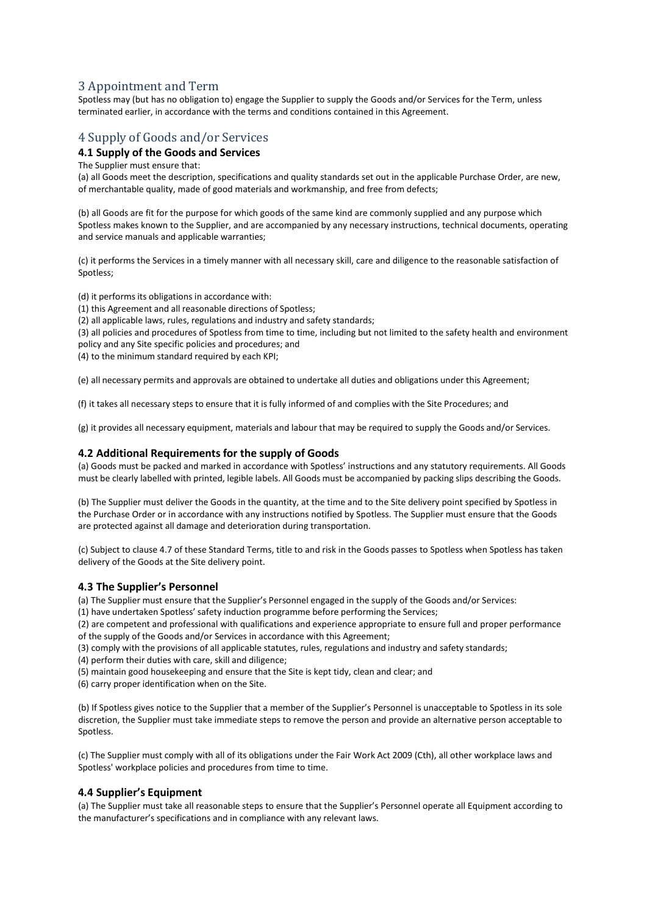# 3 Appointment and Term

Spotless may (but has no obligation to) engage the Supplier to supply the Goods and/or Services for the Term, unless terminated earlier, in accordance with the terms and conditions contained in this Agreement.

# 4 Supply of Goods and/or Services

### **4.1 Supply of the Goods and Services**

The Supplier must ensure that:

(a) all Goods meet the description, specifications and quality standards set out in the applicable Purchase Order, are new, of merchantable quality, made of good materials and workmanship, and free from defects;

(b) all Goods are fit for the purpose for which goods of the same kind are commonly supplied and any purpose which Spotless makes known to the Supplier, and are accompanied by any necessary instructions, technical documents, operating and service manuals and applicable warranties;

(c) it performs the Services in a timely manner with all necessary skill, care and diligence to the reasonable satisfaction of Spotless;

(d) it performs its obligations in accordance with:

(1) this Agreement and all reasonable directions of Spotless;

(2) all applicable laws, rules, regulations and industry and safety standards;

(3) all policies and procedures of Spotless from time to time, including but not limited to the safety health and environment policy and any Site specific policies and procedures; and

(4) to the minimum standard required by each KPI;

(e) all necessary permits and approvals are obtained to undertake all duties and obligations under this Agreement;

(f) it takes all necessary steps to ensure that it is fully informed of and complies with the Site Procedures; and

(g) it provides all necessary equipment, materials and labour that may be required to supply the Goods and/or Services.

### **4.2 Additional Requirements for the supply of Goods**

(a) Goods must be packed and marked in accordance with Spotless' instructions and any statutory requirements. All Goods must be clearly labelled with printed, legible labels. All Goods must be accompanied by packing slips describing the Goods.

(b) The Supplier must deliver the Goods in the quantity, at the time and to the Site delivery point specified by Spotless in the Purchase Order or in accordance with any instructions notified by Spotless. The Supplier must ensure that the Goods are protected against all damage and deterioration during transportation.

(c) Subject to clause 4.7 of these Standard Terms, title to and risk in the Goods passes to Spotless when Spotless has taken delivery of the Goods at the Site delivery point.

### **4.3 The Supplier's Personnel**

(a) The Supplier must ensure that the Supplier's Personnel engaged in the supply of the Goods and/or Services:

(1) have undertaken Spotless' safety induction programme before performing the Services;

(2) are competent and professional with qualifications and experience appropriate to ensure full and proper performance of the supply of the Goods and/or Services in accordance with this Agreement;

(3) comply with the provisions of all applicable statutes, rules, regulations and industry and safety standards;

(4) perform their duties with care, skill and diligence;

(5) maintain good housekeeping and ensure that the Site is kept tidy, clean and clear; and

(6) carry proper identification when on the Site.

(b) If Spotless gives notice to the Supplier that a member of the Supplier's Personnel is unacceptable to Spotless in its sole discretion, the Supplier must take immediate steps to remove the person and provide an alternative person acceptable to Spotless.

(c) The Supplier must comply with all of its obligations under the Fair Work Act 2009 (Cth), all other workplace laws and Spotless' workplace policies and procedures from time to time.

### **4.4 Supplier's Equipment**

(a) The Supplier must take all reasonable steps to ensure that the Supplier's Personnel operate all Equipment according to the manufacturer's specifications and in compliance with any relevant laws.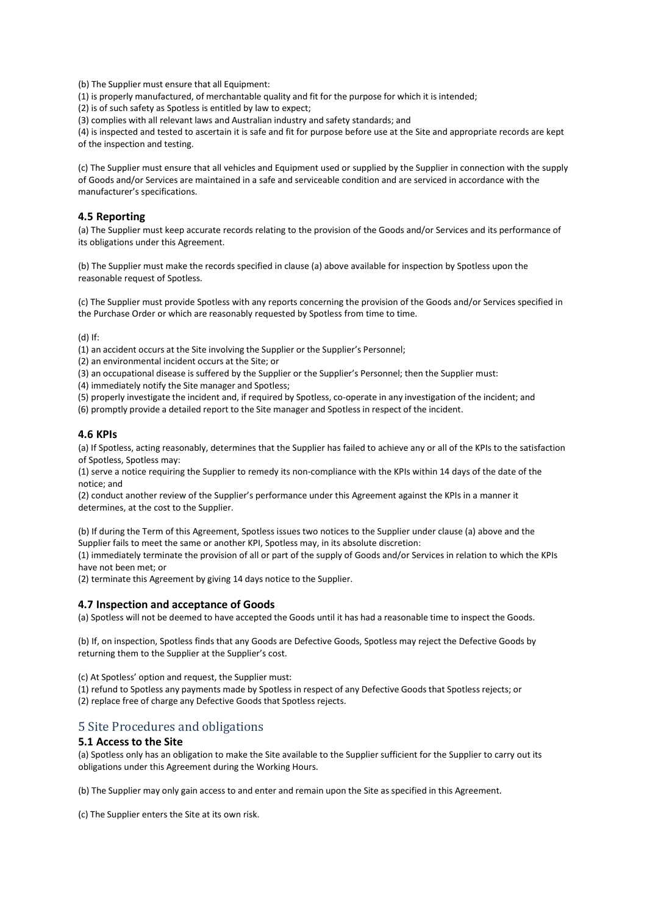(b) The Supplier must ensure that all Equipment:

(1) is properly manufactured, of merchantable quality and fit for the purpose for which it is intended;

(2) is of such safety as Spotless is entitled by law to expect;

(3) complies with all relevant laws and Australian industry and safety standards; and

(4) is inspected and tested to ascertain it is safe and fit for purpose before use at the Site and appropriate records are kept of the inspection and testing.

(c) The Supplier must ensure that all vehicles and Equipment used or supplied by the Supplier in connection with the supply of Goods and/or Services are maintained in a safe and serviceable condition and are serviced in accordance with the manufacturer's specifications.

### **4.5 Reporting**

(a) The Supplier must keep accurate records relating to the provision of the Goods and/or Services and its performance of its obligations under this Agreement.

(b) The Supplier must make the records specified in clause (a) above available for inspection by Spotless upon the reasonable request of Spotless.

(c) The Supplier must provide Spotless with any reports concerning the provision of the Goods and/or Services specified in the Purchase Order or which are reasonably requested by Spotless from time to time.

(d) If:

(1) an accident occurs at the Site involving the Supplier or the Supplier's Personnel;

(2) an environmental incident occurs at the Site; or

(3) an occupational disease is suffered by the Supplier or the Supplier's Personnel; then the Supplier must:

(4) immediately notify the Site manager and Spotless;

(5) properly investigate the incident and, if required by Spotless, co-operate in any investigation of the incident; and

(6) promptly provide a detailed report to the Site manager and Spotless in respect of the incident.

### **4.6 KPIs**

(a) If Spotless, acting reasonably, determines that the Supplier has failed to achieve any or all of the KPIs to the satisfaction of Spotless, Spotless may:

(1) serve a notice requiring the Supplier to remedy its non-compliance with the KPIs within 14 days of the date of the notice; and

(2) conduct another review of the Supplier's performance under this Agreement against the KPIs in a manner it determines, at the cost to the Supplier.

(b) If during the Term of this Agreement, Spotless issues two notices to the Supplier under clause (a) above and the Supplier fails to meet the same or another KPI, Spotless may, in its absolute discretion:

(1) immediately terminate the provision of all or part of the supply of Goods and/or Services in relation to which the KPIs have not been met; or

(2) terminate this Agreement by giving 14 days notice to the Supplier.

#### **4.7 Inspection and acceptance of Goods**

(a) Spotless will not be deemed to have accepted the Goods until it has had a reasonable time to inspect the Goods.

(b) If, on inspection, Spotless finds that any Goods are Defective Goods, Spotless may reject the Defective Goods by returning them to the Supplier at the Supplier's cost.

(c) At Spotless' option and request, the Supplier must:

(1) refund to Spotless any payments made by Spotless in respect of any Defective Goods that Spotless rejects; or

(2) replace free of charge any Defective Goods that Spotless rejects.

### 5 Site Procedures and obligations

### **5.1 Access to the Site**

(a) Spotless only has an obligation to make the Site available to the Supplier sufficient for the Supplier to carry out its obligations under this Agreement during the Working Hours.

(b) The Supplier may only gain access to and enter and remain upon the Site as specified in this Agreement.

(c) The Supplier enters the Site at its own risk.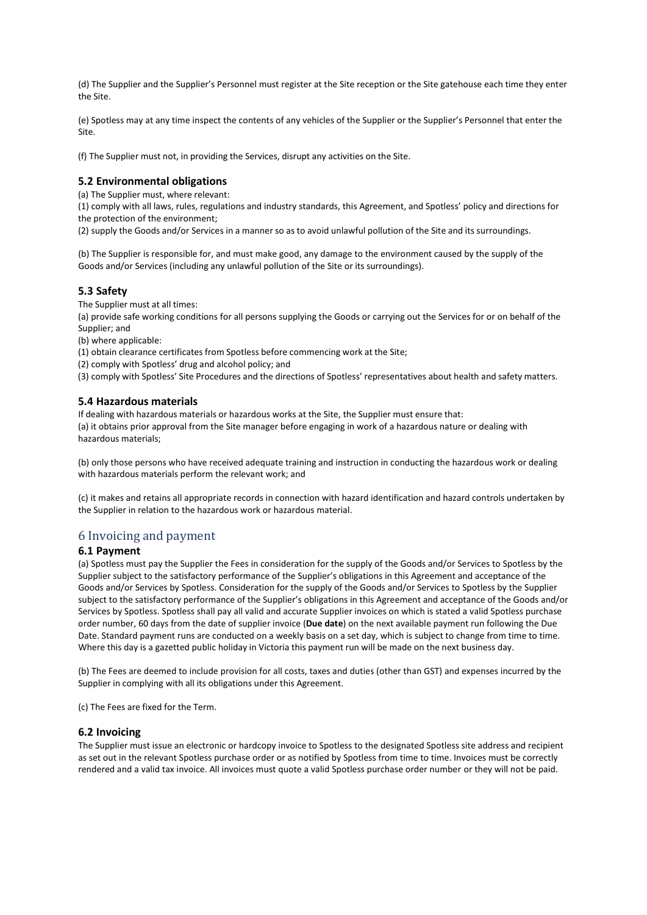(d) The Supplier and the Supplier's Personnel must register at the Site reception or the Site gatehouse each time they enter the Site.

(e) Spotless may at any time inspect the contents of any vehicles of the Supplier or the Supplier's Personnel that enter the Site.

(f) The Supplier must not, in providing the Services, disrupt any activities on the Site.

### **5.2 Environmental obligations**

(a) The Supplier must, where relevant:

(1) comply with all laws, rules, regulations and industry standards, this Agreement, and Spotless' policy and directions for the protection of the environment;

(2) supply the Goods and/or Services in a manner so as to avoid unlawful pollution of the Site and its surroundings.

(b) The Supplier is responsible for, and must make good, any damage to the environment caused by the supply of the Goods and/or Services (including any unlawful pollution of the Site or its surroundings).

### **5.3 Safety**

The Supplier must at all times:

(a) provide safe working conditions for all persons supplying the Goods or carrying out the Services for or on behalf of the Supplier; and

(b) where applicable:

(1) obtain clearance certificates from Spotless before commencing work at the Site;

(2) comply with Spotless' drug and alcohol policy; and

(3) comply with Spotless' Site Procedures and the directions of Spotless' representatives about health and safety matters.

### **5.4 Hazardous materials**

If dealing with hazardous materials or hazardous works at the Site, the Supplier must ensure that: (a) it obtains prior approval from the Site manager before engaging in work of a hazardous nature or dealing with hazardous materials;

(b) only those persons who have received adequate training and instruction in conducting the hazardous work or dealing with hazardous materials perform the relevant work; and

(c) it makes and retains all appropriate records in connection with hazard identification and hazard controls undertaken by the Supplier in relation to the hazardous work or hazardous material.

### 6 Invoicing and payment

### **6.1 Payment**

(a) Spotless must pay the Supplier the Fees in consideration for the supply of the Goods and/or Services to Spotless by the Supplier subject to the satisfactory performance of the Supplier's obligations in this Agreement and acceptance of the Goods and/or Services by Spotless. Consideration for the supply of the Goods and/or Services to Spotless by the Supplier subject to the satisfactory performance of the Supplier's obligations in this Agreement and acceptance of the Goods and/or Services by Spotless. Spotless shall pay all valid and accurate Supplier invoices on which is stated a valid Spotless purchase order number, 60 days from the date of supplier invoice (**Due date**) on the next available payment run following the Due Date. Standard payment runs are conducted on a weekly basis on a set day, which is subject to change from time to time. Where this day is a gazetted public holiday in Victoria this payment run will be made on the next business day.

(b) The Fees are deemed to include provision for all costs, taxes and duties (other than GST) and expenses incurred by the Supplier in complying with all its obligations under this Agreement.

(c) The Fees are fixed for the Term.

#### **6.2 Invoicing**

The Supplier must issue an electronic or hardcopy invoice to Spotless to the designated Spotless site address and recipient as set out in the relevant Spotless purchase order or as notified by Spotless from time to time. Invoices must be correctly rendered and a valid tax invoice. All invoices must quote a valid Spotless purchase order number or they will not be paid.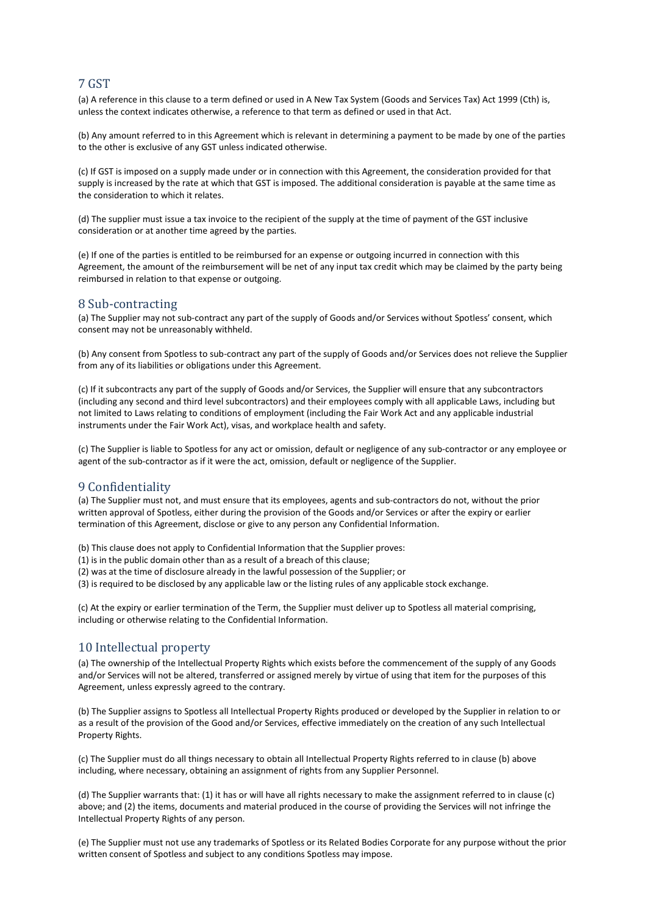# 7 GST

(a) A reference in this clause to a term defined or used in A New Tax System (Goods and Services Tax) Act 1999 (Cth) is, unless the context indicates otherwise, a reference to that term as defined or used in that Act.

(b) Any amount referred to in this Agreement which is relevant in determining a payment to be made by one of the parties to the other is exclusive of any GST unless indicated otherwise.

(c) If GST is imposed on a supply made under or in connection with this Agreement, the consideration provided for that supply is increased by the rate at which that GST is imposed. The additional consideration is payable at the same time as the consideration to which it relates.

(d) The supplier must issue a tax invoice to the recipient of the supply at the time of payment of the GST inclusive consideration or at another time agreed by the parties.

(e) If one of the parties is entitled to be reimbursed for an expense or outgoing incurred in connection with this Agreement, the amount of the reimbursement will be net of any input tax credit which may be claimed by the party being reimbursed in relation to that expense or outgoing.

### 8 Sub-contracting

(a) The Supplier may not sub-contract any part of the supply of Goods and/or Services without Spotless' consent, which consent may not be unreasonably withheld.

(b) Any consent from Spotless to sub-contract any part of the supply of Goods and/or Services does not relieve the Supplier from any of its liabilities or obligations under this Agreement.

(c) If it subcontracts any part of the supply of Goods and/or Services, the Supplier will ensure that any subcontractors (including any second and third level subcontractors) and their employees comply with all applicable Laws, including but not limited to Laws relating to conditions of employment (including the Fair Work Act and any applicable industrial instruments under the Fair Work Act), visas, and workplace health and safety.

(c) The Supplier is liable to Spotless for any act or omission, default or negligence of any sub-contractor or any employee or agent of the sub-contractor as if it were the act, omission, default or negligence of the Supplier.

### 9 Confidentiality

(a) The Supplier must not, and must ensure that its employees, agents and sub-contractors do not, without the prior written approval of Spotless, either during the provision of the Goods and/or Services or after the expiry or earlier termination of this Agreement, disclose or give to any person any Confidential Information.

(b) This clause does not apply to Confidential Information that the Supplier proves:

- (1) is in the public domain other than as a result of a breach of this clause;
- (2) was at the time of disclosure already in the lawful possession of the Supplier; or

(3) is required to be disclosed by any applicable law or the listing rules of any applicable stock exchange.

(c) At the expiry or earlier termination of the Term, the Supplier must deliver up to Spotless all material comprising, including or otherwise relating to the Confidential Information.

### 10 Intellectual property

(a) The ownership of the Intellectual Property Rights which exists before the commencement of the supply of any Goods and/or Services will not be altered, transferred or assigned merely by virtue of using that item for the purposes of this Agreement, unless expressly agreed to the contrary.

(b) The Supplier assigns to Spotless all Intellectual Property Rights produced or developed by the Supplier in relation to or as a result of the provision of the Good and/or Services, effective immediately on the creation of any such Intellectual Property Rights.

(c) The Supplier must do all things necessary to obtain all Intellectual Property Rights referred to in clause (b) above including, where necessary, obtaining an assignment of rights from any Supplier Personnel.

(d) The Supplier warrants that: (1) it has or will have all rights necessary to make the assignment referred to in clause (c) above; and (2) the items, documents and material produced in the course of providing the Services will not infringe the Intellectual Property Rights of any person.

(e) The Supplier must not use any trademarks of Spotless or its Related Bodies Corporate for any purpose without the prior written consent of Spotless and subject to any conditions Spotless may impose.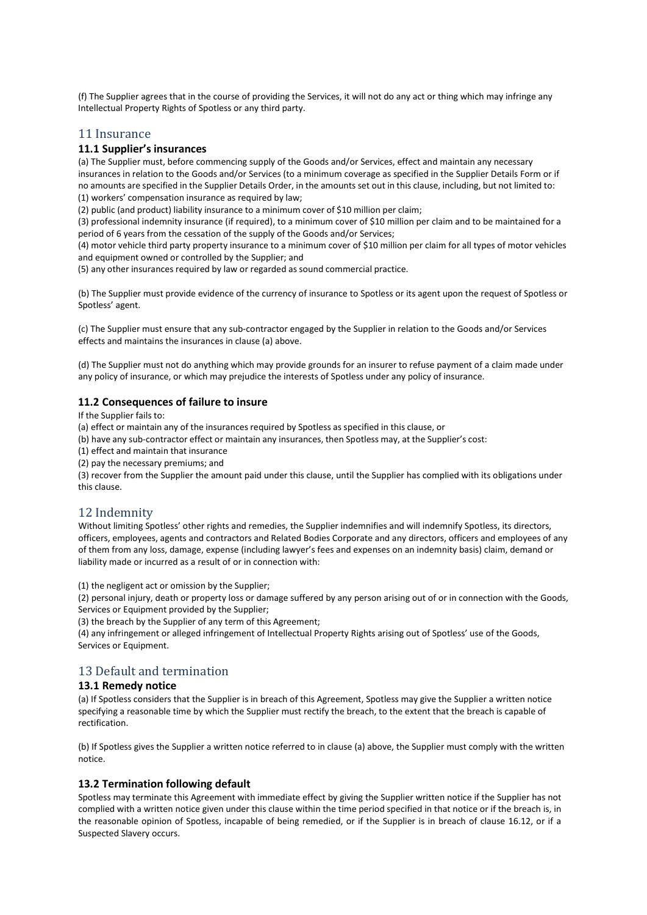(f) The Supplier agrees that in the course of providing the Services, it will not do any act or thing which may infringe any Intellectual Property Rights of Spotless or any third party.

### 11 Insurance

### **11.1 Supplier's insurances**

(a) The Supplier must, before commencing supply of the Goods and/or Services, effect and maintain any necessary insurances in relation to the Goods and/or Services (to a minimum coverage as specified in the Supplier Details Form or if no amounts are specified in the Supplier Details Order, in the amounts set out in this clause, including, but not limited to: (1) workers' compensation insurance as required by law;

(2) public (and product) liability insurance to a minimum cover of \$10 million per claim;

(3) professional indemnity insurance (if required), to a minimum cover of \$10 million per claim and to be maintained for a period of 6 years from the cessation of the supply of the Goods and/or Services;

(4) motor vehicle third party property insurance to a minimum cover of \$10 million per claim for all types of motor vehicles and equipment owned or controlled by the Supplier; and

(5) any other insurances required by law or regarded as sound commercial practice.

(b) The Supplier must provide evidence of the currency of insurance to Spotless or its agent upon the request of Spotless or Spotless' agent.

(c) The Supplier must ensure that any sub-contractor engaged by the Supplier in relation to the Goods and/or Services effects and maintains the insurances in clause (a) above.

(d) The Supplier must not do anything which may provide grounds for an insurer to refuse payment of a claim made under any policy of insurance, or which may prejudice the interests of Spotless under any policy of insurance.

### **11.2 Consequences of failure to insure**

If the Supplier fails to:

(a) effect or maintain any of the insurances required by Spotless as specified in this clause, or

- (b) have any sub-contractor effect or maintain any insurances, then Spotless may, at the Supplier's cost:
- (1) effect and maintain that insurance
- (2) pay the necessary premiums; and

(3) recover from the Supplier the amount paid under this clause, until the Supplier has complied with its obligations under this clause.

### 12 Indemnity

Without limiting Spotless' other rights and remedies, the Supplier indemnifies and will indemnify Spotless, its directors, officers, employees, agents and contractors and Related Bodies Corporate and any directors, officers and employees of any of them from any loss, damage, expense (including lawyer's fees and expenses on an indemnity basis) claim, demand or liability made or incurred as a result of or in connection with:

(1) the negligent act or omission by the Supplier;

(2) personal injury, death or property loss or damage suffered by any person arising out of or in connection with the Goods, Services or Equipment provided by the Supplier;

(3) the breach by the Supplier of any term of this Agreement;

(4) any infringement or alleged infringement of Intellectual Property Rights arising out of Spotless' use of the Goods, Services or Equipment.

### 13 Default and termination

#### **13.1 Remedy notice**

(a) If Spotless considers that the Supplier is in breach of this Agreement, Spotless may give the Supplier a written notice specifying a reasonable time by which the Supplier must rectify the breach, to the extent that the breach is capable of rectification.

(b) If Spotless gives the Supplier a written notice referred to in clause (a) above, the Supplier must comply with the written notice.

#### **13.2 Termination following default**

Spotless may terminate this Agreement with immediate effect by giving the Supplier written notice if the Supplier has not complied with a written notice given under this clause within the time period specified in that notice or if the breach is, in the reasonable opinion of Spotless, incapable of being remedied, or if the Supplier is in breach of clause 16.12, or if a Suspected Slavery occurs.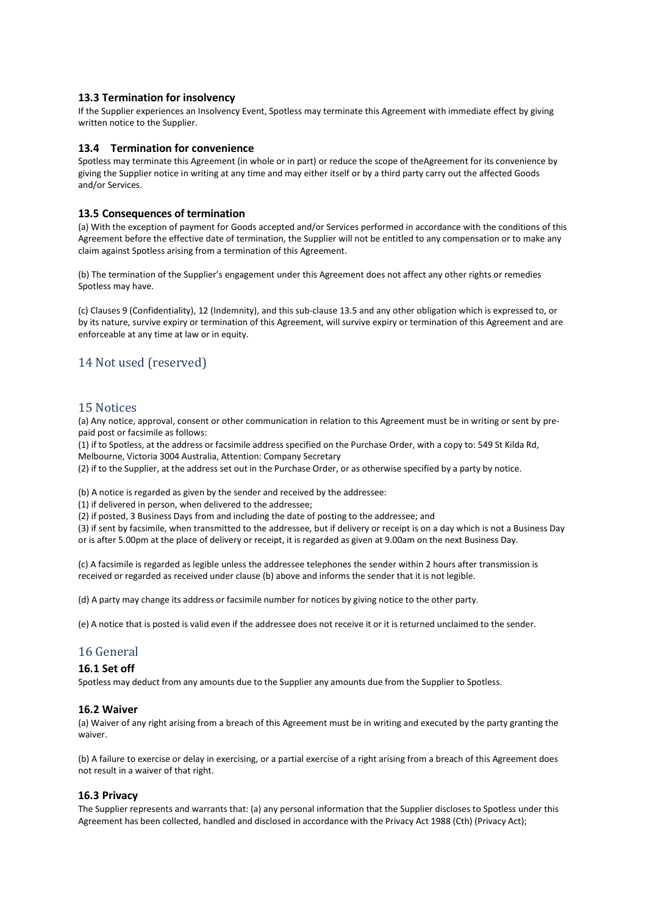### **13.3 Termination for insolvency**

If the Supplier experiences an Insolvency Event, Spotless may terminate this Agreement with immediate effect by giving written notice to the Supplier.

#### **13.4 Termination for convenience**

Spotless may terminate this Agreement (in whole or in part) or reduce the scope of theAgreement for its convenience by giving the Supplier notice in writing at any time and may either itself or by a third party carry out the affected Goods and/or Services.

#### **13.5 Consequences of termination**

(a) With the exception of payment for Goods accepted and/or Services performed in accordance with the conditions of this Agreement before the effective date of termination, the Supplier will not be entitled to any compensation or to make any claim against Spotless arising from a termination of this Agreement.

(b) The termination of the Supplier's engagement under this Agreement does not affect any other rights or remedies Spotless may have.

(c) Clauses 9 (Confidentiality), 12 (Indemnity), and this sub-clause 13.5 and any other obligation which is expressed to, or by its nature, survive expiry or termination of this Agreement, will survive expiry or termination of this Agreement and are enforceable at any time at law or in equity.

# 14 Not used (reserved)

#### 15 Notices

(a) Any notice, approval, consent or other communication in relation to this Agreement must be in writing or sent by prepaid post or facsimile as follows:

(1) if to Spotless, at the address or facsimile address specified on the Purchase Order, with a copy to: 549 St Kilda Rd, Melbourne, Victoria 3004 Australia, Attention: Company Secretary

(2) if to the Supplier, at the address set out in the Purchase Order, or as otherwise specified by a party by notice.

(b) A notice is regarded as given by the sender and received by the addressee:

(1) if delivered in person, when delivered to the addressee;

(2) if posted, 3 Business Days from and including the date of posting to the addressee; and

(3) if sent by facsimile, when transmitted to the addressee, but if delivery or receipt is on a day which is not a Business Day or is after 5.00pm at the place of delivery or receipt, it is regarded as given at 9.00am on the next Business Day.

(c) A facsimile is regarded as legible unless the addressee telephones the sender within 2 hours after transmission is received or regarded as received under clause (b) above and informs the sender that it is not legible.

(d) A party may change its address or facsimile number for notices by giving notice to the other party.

(e) A notice that is posted is valid even if the addressee does not receive it or it is returned unclaimed to the sender.

### 16 General

#### **16.1 Set off**

Spotless may deduct from any amounts due to the Supplier any amounts due from the Supplier to Spotless.

#### **16.2 Waiver**

(a) Waiver of any right arising from a breach of this Agreement must be in writing and executed by the party granting the waiver.

(b) A failure to exercise or delay in exercising, or a partial exercise of a right arising from a breach of this Agreement does not result in a waiver of that right.

#### **16.3 Privacy**

The Supplier represents and warrants that: (a) any personal information that the Supplier discloses to Spotless under this Agreement has been collected, handled and disclosed in accordance with the Privacy Act 1988 (Cth) (Privacy Act);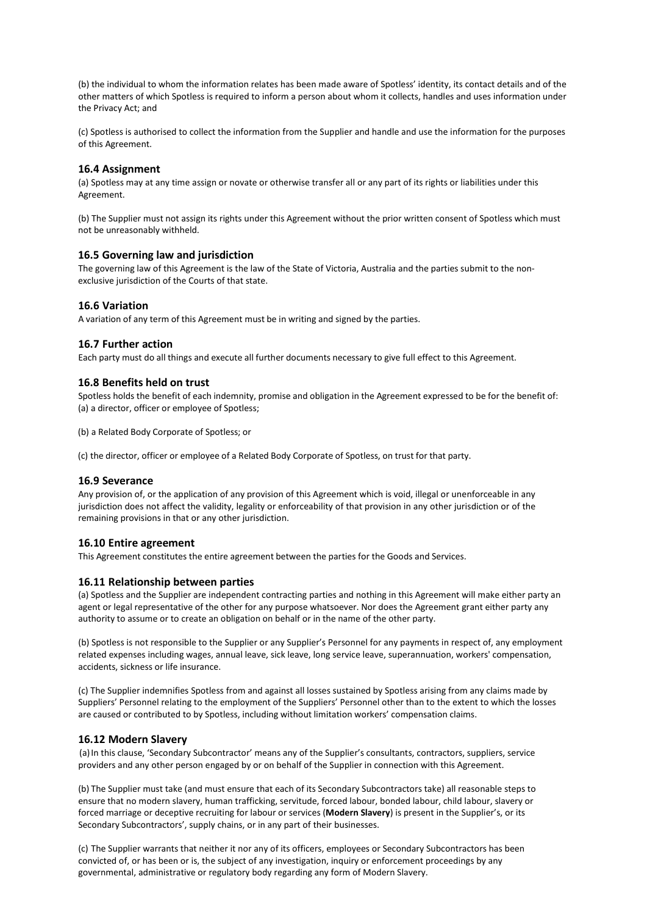(b) the individual to whom the information relates has been made aware of Spotless' identity, its contact details and of the other matters of which Spotless is required to inform a person about whom it collects, handles and uses information under the Privacy Act; and

(c) Spotless is authorised to collect the information from the Supplier and handle and use the information for the purposes of this Agreement.

#### **16.4 Assignment**

(a) Spotless may at any time assign or novate or otherwise transfer all or any part of its rights or liabilities under this Agreement.

(b) The Supplier must not assign its rights under this Agreement without the prior written consent of Spotless which must not be unreasonably withheld.

#### **16.5 Governing law and jurisdiction**

The governing law of this Agreement is the law of the State of Victoria, Australia and the parties submit to the nonexclusive jurisdiction of the Courts of that state.

### **16.6 Variation**

A variation of any term of this Agreement must be in writing and signed by the parties.

#### **16.7 Further action**

Each party must do all things and execute all further documents necessary to give full effect to this Agreement.

#### **16.8 Benefits held on trust**

Spotless holds the benefit of each indemnity, promise and obligation in the Agreement expressed to be for the benefit of: (a) a director, officer or employee of Spotless;

(b) a Related Body Corporate of Spotless; or

(c) the director, officer or employee of a Related Body Corporate of Spotless, on trust for that party.

#### **16.9 Severance**

Any provision of, or the application of any provision of this Agreement which is void, illegal or unenforceable in any jurisdiction does not affect the validity, legality or enforceability of that provision in any other jurisdiction or of the remaining provisions in that or any other jurisdiction.

### **16.10 Entire agreement**

This Agreement constitutes the entire agreement between the parties for the Goods and Services.

#### **16.11 Relationship between parties**

(a) Spotless and the Supplier are independent contracting parties and nothing in this Agreement will make either party an agent or legal representative of the other for any purpose whatsoever. Nor does the Agreement grant either party any authority to assume or to create an obligation on behalf or in the name of the other party.

(b) Spotless is not responsible to the Supplier or any Supplier's Personnel for any payments in respect of, any employment related expenses including wages, annual leave, sick leave, long service leave, superannuation, workers' compensation, accidents, sickness or life insurance.

(c) The Supplier indemnifies Spotless from and against all losses sustained by Spotless arising from any claims made by Suppliers' Personnel relating to the employment of the Suppliers' Personnel other than to the extent to which the losses are caused or contributed to by Spotless, including without limitation workers' compensation claims.

#### **16.12 Modern Slavery**

(a)In this clause, 'Secondary Subcontractor' means any of the Supplier's consultants, contractors, suppliers, service providers and any other person engaged by or on behalf of the Supplier in connection with this Agreement.

(b) The Supplier must take (and must ensure that each of its Secondary Subcontractors take) all reasonable steps to ensure that no modern slavery, human trafficking, servitude, forced labour, bonded labour, child labour, slavery or forced marriage or deceptive recruiting for labour or services (**Modern Slavery**) is present in the Supplier's, or its Secondary Subcontractors', supply chains, or in any part of their businesses.

(c) The Supplier warrants that neither it nor any of its officers, employees or Secondary Subcontractors has been convicted of, or has been or is, the subject of any investigation, inquiry or enforcement proceedings by any governmental, administrative or regulatory body regarding any form of Modern Slavery.